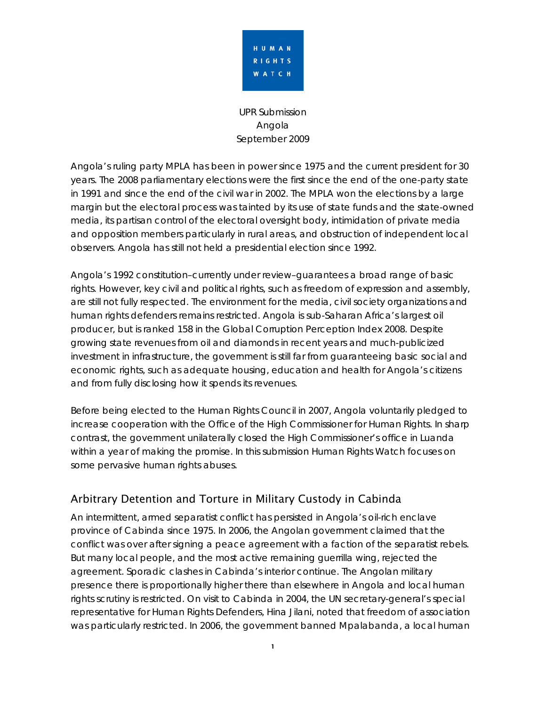

UPR Submission Angola September 2009

Angola's ruling party MPLA has been in power since 1975 and the current president for 30 years. The 2008 parliamentary elections were the first since the end of the one-party state in 1991 and since the end of the civil war in 2002. The MPLA won the elections by a large margin but the electoral process was tainted by its use of state funds and the state-owned media, its partisan control of the electoral oversight body, intimidation of private media and opposition members particularly in rural areas, and obstruction of independent local observers. Angola has still not held a presidential election since 1992.

Angola's 1992 constitution–currently under review–guarantees a broad range of basic rights. However, key civil and political rights, such as freedom of expression and assembly, are still not fully respected. The environment for the media, civil society organizations and human rights defenders remains restricted. Angola is sub-Saharan Africa's largest oil producer, but is ranked 158 in the Global Corruption Perception Index 2008. Despite growing state revenues from oil and diamonds in recent years and much-publicized investment in infrastructure, the government is still far from guaranteeing basic social and economic rights, such as adequate housing, education and health for Angola's citizens and from fully disclosing how it spends its revenues.

Before being elected to the Human Rights Council in 2007, Angola voluntarily pledged to increase cooperation with the Office of the High Commissioner for Human Rights. In sharp contrast, the government unilaterally closed the High Commissioner's office in Luanda within a year of making the promise. In this submission Human Rights Watch focuses on some pervasive human rights abuses.

# Arbitrary Detention and Torture in Military Custody in Cabinda

An intermittent, armed separatist conflict has persisted in Angola's oil-rich enclave province of Cabinda since 1975. In 2006, the Angolan government claimed that the conflict was over after signing a peace agreement with a faction of the separatist rebels. But many local people, and the most active remaining guerrilla wing, rejected the agreement. Sporadic clashes in Cabinda's interior continue. The Angolan military presence there is proportionally higher there than elsewhere in Angola and local human rights scrutiny is restricted. On visit to Cabinda in 2004, the UN secretary-general's special representative for Human Rights Defenders, Hina Jilani, noted that freedom of association was particularly restricted. In 2006, the government banned Mpalabanda, a local human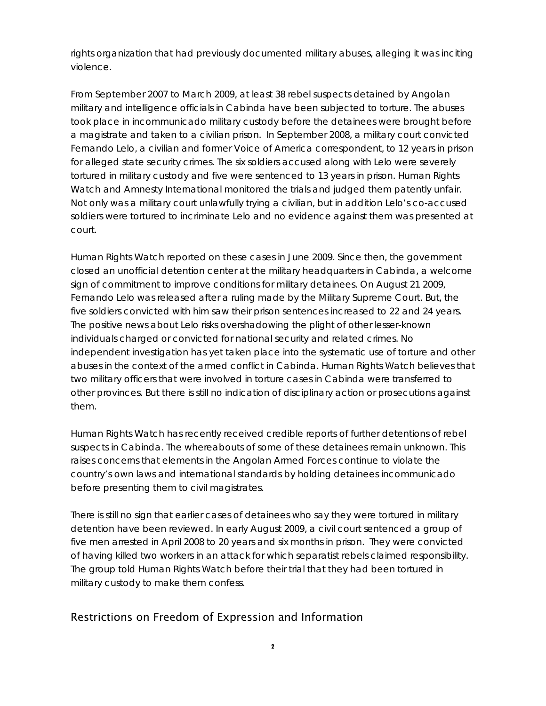rights organization that had previously documented military abuses, alleging it was inciting violence.

From September 2007 to March 2009, at least 38 rebel suspects detained by Angolan military and intelligence officials in Cabinda have been subjected to torture. The abuses took place in incommunicado military custody before the detainees were brought before a magistrate and taken to a civilian prison. In September 2008, a military court convicted Fernando Lelo, a civilian and former Voice of America correspondent, to 12 years in prison for alleged state security crimes. The six soldiers accused along with Lelo were severely tortured in military custody and five were sentenced to 13 years in prison. Human Rights Watch and Amnesty International monitored the trials and judged them patently unfair. Not only was a military court unlawfully trying a civilian, but in addition Lelo's co-accused soldiers were tortured to incriminate Lelo and no evidence against them was presented at court.

Human Rights Watch reported on these cases in June 2009. Since then, the government closed an unofficial detention center at the military headquarters in Cabinda, a welcome sign of commitment to improve conditions for military detainees. On August 21 2009, Fernando Lelo was released after a ruling made by the Military Supreme Court. But, the five soldiers convicted with him saw their prison sentences increased to 22 and 24 years. The positive news about Lelo risks overshadowing the plight of other lesser-known individuals charged or convicted for national security and related crimes. No independent investigation has yet taken place into the systematic use of torture and other abuses in the context of the armed conflict in Cabinda. Human Rights Watch believes that two military officers that were involved in torture cases in Cabinda were transferred to other provinces. But there is still no indication of disciplinary action or prosecutions against them.

Human Rights Watch has recently received credible reports of further detentions of rebel suspects in Cabinda. The whereabouts of some of these detainees remain unknown. This raises concerns that elements in the Angolan Armed Forces continue to violate the country's own laws and international standards by holding detainees incommunicado before presenting them to civil magistrates.

There is still no sign that earlier cases of detainees who say they were tortured in military detention have been reviewed. In early August 2009, a civil court sentenced a group of five men arrested in April 2008 to 20 years and six months in prison. They were convicted of having killed two workers in an attack for which separatist rebels claimed responsibility. The group told Human Rights Watch before their trial that they had been tortured in military custody to make them confess.

# Restrictions on Freedom of Expression and Information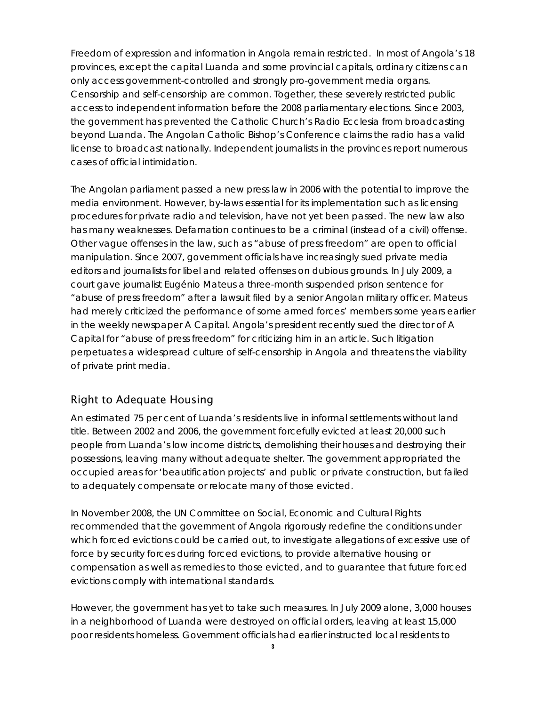Freedom of expression and information in Angola remain restricted. In most of Angola's 18 provinces, except the capital Luanda and some provincial capitals, ordinary citizens can only access government-controlled and strongly pro-government media organs. Censorship and self-censorship are common. Together, these severely restricted public access to independent information before the 2008 parliamentary elections. Since 2003, the government has prevented the Catholic Church's Radio Ecclesia from broadcasting beyond Luanda. The Angolan Catholic Bishop's Conference claims the radio has a valid license to broadcast nationally. Independent journalists in the provinces report numerous cases of official intimidation.

The Angolan parliament passed a new press law in 2006 with the potential to improve the media environment. However, by-laws essential for its implementation such as licensing procedures for private radio and television, have not yet been passed. The new law also has many weaknesses. Defamation continues to be a criminal (instead of a civil) offense. Other vague offenses in the law, such as "abuse of press freedom" are open to official manipulation. Since 2007, government officials have increasingly sued private media editors and journalists for libel and related offenses on dubious grounds. In July 2009, a court gave journalist Eugénio Mateus a three-month suspended prison sentence for "abuse of press freedom" after a lawsuit filed by a senior Angolan military officer. Mateus had merely criticized the performance of some armed forces' members some years earlier in the weekly newspaper *A Capital*. Angola's president recently sued the director of *A Capital* for "abuse of press freedom" for criticizing him in an article. Such litigation perpetuates a widespread culture of self-censorship in Angola and threatens the viability of private print media.

# Right to Adequate Housing

An estimated 75 per cent of Luanda's residents live in informal settlements without land title. Between 2002 and 2006, the government forcefully evicted at least 20,000 such people from Luanda's low income districts, demolishing their houses and destroying their possessions, leaving many without adequate shelter. The government appropriated the occupied areas for 'beautification projects' and public or private construction, but failed to adequately compensate or relocate many of those evicted.

In November 2008, the UN Committee on Social, Economic and Cultural Rights recommended that the government of Angola rigorously redefine the conditions under which forced evictions could be carried out, to investigate allegations of excessive use of force by security forces during forced evictions, to provide alternative housing or compensation as well as remedies to those evicted, and to guarantee that future forced evictions comply with international standards.

However, the government has yet to take such measures. In July 2009 alone, 3,000 houses in a neighborhood of Luanda were destroyed on official orders, leaving at least 15,000 poor residents homeless. Government officials had earlier instructed local residents to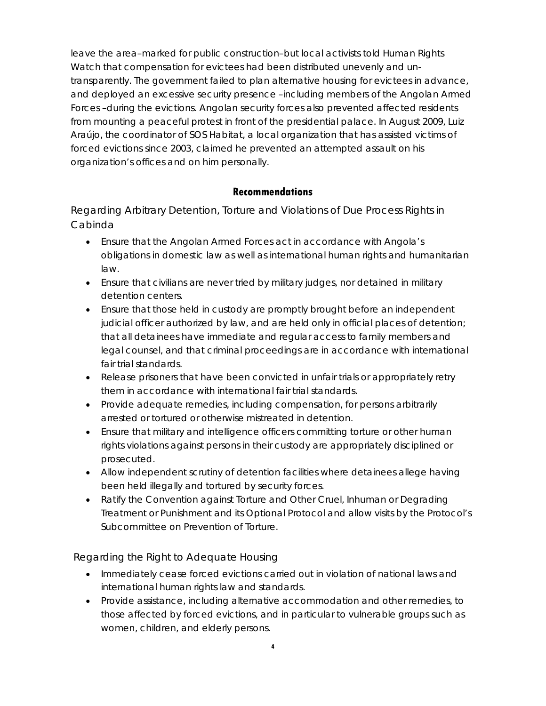leave the area–marked for public construction–but local activists told Human Rights Watch that compensation for evictees had been distributed unevenly and untransparently. The government failed to plan alternative housing for evictees in advance, and deployed an excessive security presence –including members of the Angolan Armed Forces –during the evictions. Angolan security forces also prevented affected residents from mounting a peaceful protest in front of the presidential palace. In August 2009, Luiz Araújo, the coordinator of *SOS Habitat*, a local organization that has assisted victims of forced evictions since 2003, claimed he prevented an attempted assault on his organization's offices and on him personally.

# **Recommendations**

Regarding Arbitrary Detention, Torture and Violations of Due Process Rights in Cabinda

- Ensure that the Angolan Armed Forces act in accordance with Angola's obligations in domestic law as well as international human rights and humanitarian law.
- Ensure that civilians are never tried by military judges, nor detained in military detention centers.
- Ensure that those held in custody are promptly brought before an independent judicial officer authorized by law, and are held only in official places of detention; that all detainees have immediate and regular access to family members and legal counsel, and that criminal proceedings are in accordance with international fair trial standards.
- Release prisoners that have been convicted in unfair trials or appropriately retry them in accordance with international fair trial standards.
- Provide adequate remedies, including compensation, for persons arbitrarily arrested or tortured or otherwise mistreated in detention.
- Ensure that military and intelligence officers committing torture or other human rights violations against persons in their custody are appropriately disciplined or prosecuted.
- Allow independent scrutiny of detention facilities where detainees allege having been held illegally and tortured by security forces.
- Ratify the Convention against Torture and Other Cruel, Inhuman or Degrading Treatment or Punishment and its Optional Protocol and allow visits by the Protocol's Subcommittee on Prevention of Torture.

Regarding the Right to Adequate Housing

- Immediately cease forced evictions carried out in violation of national laws and international human rights law and standards.
- Provide assistance, including alternative accommodation and other remedies, to those affected by forced evictions, and in particular to vulnerable groups such as women, children, and elderly persons.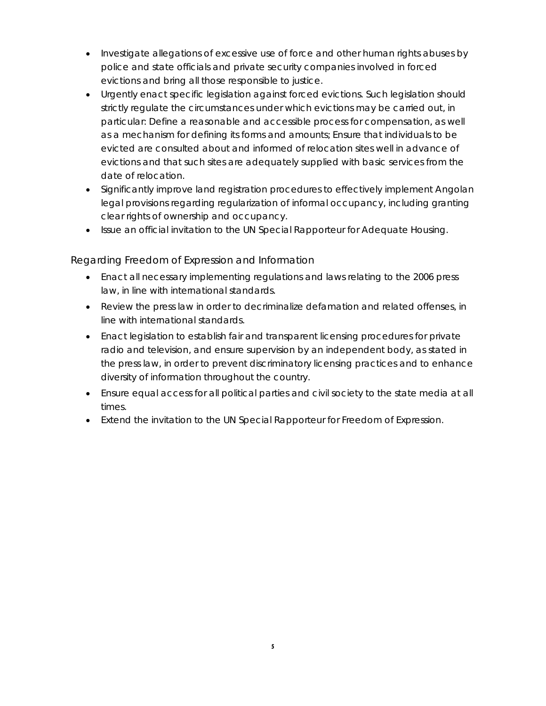- Investigate allegations of excessive use of force and other human rights abuses by police and state officials and private security companies involved in forced evictions and bring all those responsible to justice.
- Urgently enact specific legislation against forced evictions. Such legislation should strictly regulate the circumstances under which evictions may be carried out, in particular: Define a reasonable and accessible process for compensation, as well as a mechanism for defining its forms and amounts; Ensure that individuals to be evicted are consulted about and informed of relocation sites well in advance of evictions and that such sites are adequately supplied with basic services from the date of relocation.
- Significantly improve land registration procedures to effectively implement Angolan legal provisions regarding regularization of informal occupancy, including granting clear rights of ownership and occupancy.
- Issue an official invitation to the UN Special Rapporteur for Adequate Housing.

Regarding Freedom of Expression and Information

- Enact all necessary implementing regulations and laws relating to the 2006 press law, in line with international standards.
- Review the press law in order to decriminalize defamation and related offenses, in line with international standards.
- Enact legislation to establish fair and transparent licensing procedures for private radio and television, and ensure supervision by an independent body, as stated in the press law, in order to prevent discriminatory licensing practices and to enhance diversity of information throughout the country.
- Ensure equal access for all political parties and civil society to the state media at all times.
- Extend the invitation to the UN Special Rapporteur for Freedom of Expression.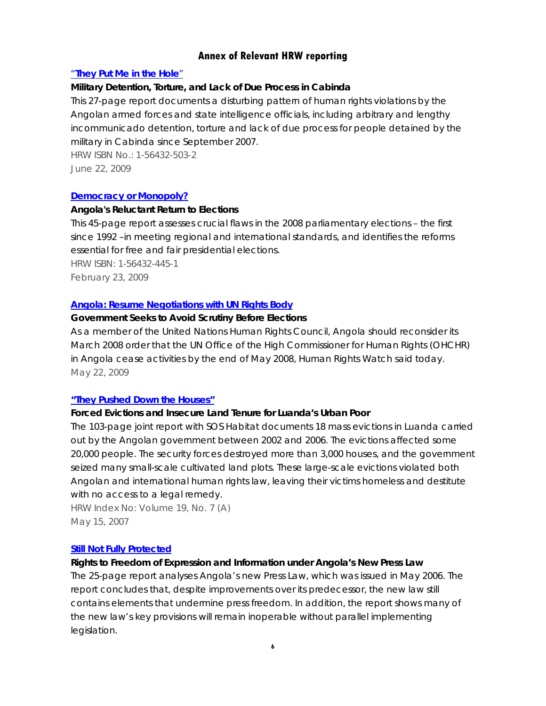# **Annex of Relevant HRW reporting**

## "**They Put Me in the Hole**"

## *Military Detention, Torture, and Lack of Due Process in Cabinda*

This 27-page report documents a disturbing pattern of human rights violations by the Angolan armed forces and state intelligence officials, including arbitrary and lengthy incommunicado detention, torture and lack of due process for people detained by the military in Cabinda since September 2007.

HRW ISBN No.: 1-56432-503-2 June 22, 2009

#### **Democracy or Monopoly?**

#### *Angola's Reluctant Return to Elections*

This 45-page report assesses crucial flaws in the 2008 parliamentary elections – the first since 1992 –in meeting regional and international standards, and identifies the reforms essential for free and fair presidential elections.

HRW ISBN: 1-56432-445-1 February 23, 2009

#### **Angola: Resume Negotiations with UN Rights Body**

#### *Government Seeks to Avoid Scrutiny Before Elections*

As a member of the United Nations Human Rights Council, Angola should reconsider its March 2008 order that the UN Office of the High Commissioner for Human Rights (OHCHR) in Angola cease activities by the end of May 2008, Human Rights Watch said today. May 22, 2009

## **"They Pushed Down the Houses"**

## *Forced Evictions and Insecure Land Tenure for Luanda's Urban Poor*

The 103-page joint report with SOS Habitat documents 18 mass evictions in Luanda carried out by the Angolan government between 2002 and 2006. The evictions affected some 20,000 people. The security forces destroyed more than 3,000 houses, and the government seized many small-scale cultivated land plots. These large-scale evictions violated both Angolan and international human rights law, leaving their victims homeless and destitute with no access to a legal remedy.

HRW Index No: Volume 19, No. 7 (A) May 15, 2007

#### **Still Not Fully Protected**

## *Rights to Freedom of Expression and Information under Angola's New Press Law*

The 25-page report analyses Angola's new Press Law, which was issued in May 2006. The report concludes that, despite improvements over its predecessor, the new law still contains elements that undermine press freedom. In addition, the report shows many of the new law's key provisions will remain inoperable without parallel implementing legislation.